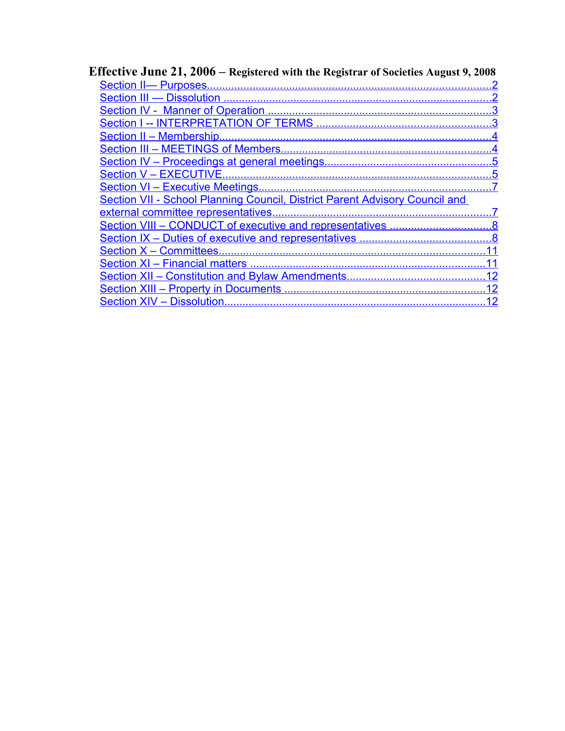| Effective June 21, 2006 – Registered with the Registrar of Societies August 9, 2008 |  |  |
|-------------------------------------------------------------------------------------|--|--|
|                                                                                     |  |  |
|                                                                                     |  |  |
|                                                                                     |  |  |
|                                                                                     |  |  |
|                                                                                     |  |  |
|                                                                                     |  |  |
|                                                                                     |  |  |
|                                                                                     |  |  |
|                                                                                     |  |  |
| <b>Section VII - School Planning Council, District Parent Advisory Council and</b>  |  |  |
|                                                                                     |  |  |
|                                                                                     |  |  |
|                                                                                     |  |  |
|                                                                                     |  |  |
|                                                                                     |  |  |
|                                                                                     |  |  |
|                                                                                     |  |  |
|                                                                                     |  |  |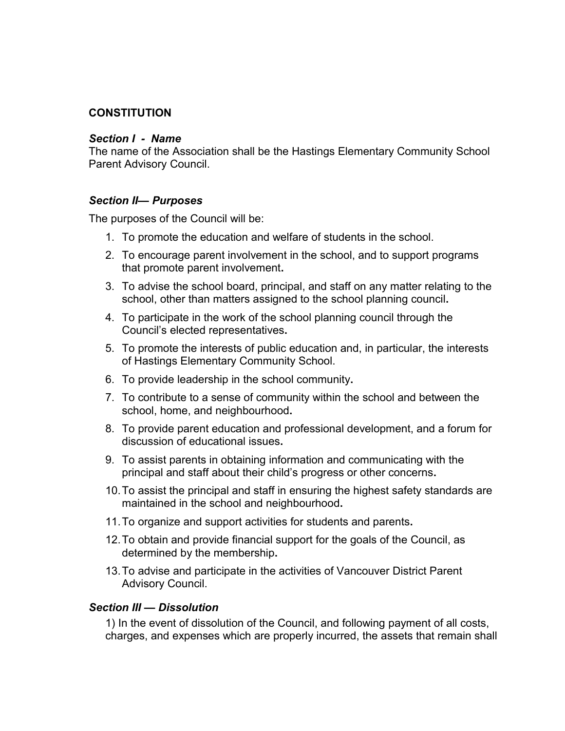### **CONSTITUTION**

#### *Section I - Name*

The name of the Association shall be the Hastings Elementary Community School Parent Advisory Council.

#### <span id="page-1-0"></span>*Section II— Purposes*

The purposes of the Council will be:

- 1. To promote the education and welfare of students in the school.
- 2. To encourage parent involvement in the school, and to support programs that promote parent involvement**.**
- 3. To advise the school board, principal, and staff on any matter relating to the school, other than matters assigned to the school planning council**.**
- 4. To participate in the work of the school planning council through the Council's elected representatives**.**
- 5. To promote the interests of public education and, in particular, the interests of Hastings Elementary Community School.
- 6. To provide leadership in the school community**.**
- 7. To contribute to a sense of community within the school and between the school, home, and neighbourhood**.**
- 8. To provide parent education and professional development, and a forum for discussion of educational issues**.**
- 9. To assist parents in obtaining information and communicating with the principal and staff about their child's progress or other concerns**.**
- 10.To assist the principal and staff in ensuring the highest safety standards are maintained in the school and neighbourhood**.**
- 11.To organize and support activities for students and parents**.**
- 12.To obtain and provide financial support for the goals of the Council, as determined by the membership**.**
- 13.To advise and participate in the activities of Vancouver District Parent Advisory Council.

#### <span id="page-1-1"></span>*Section III — Dissolution*

1) In the event of dissolution of the Council, and following payment of all costs, charges, and expenses which are properly incurred, the assets that remain shall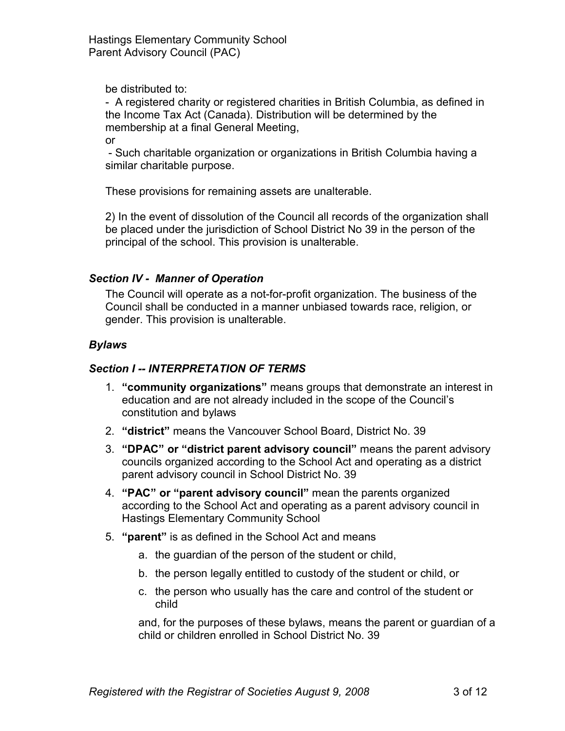be distributed to:

- A registered charity or registered charities in British Columbia, as defined in the Income Tax Act (Canada). Distribution will be determined by the membership at a final General Meeting,

or

 - Such charitable organization or organizations in British Columbia having a similar charitable purpose.

These provisions for remaining assets are unalterable.

2) In the event of dissolution of the Council all records of the organization shall be placed under the jurisdiction of School District No 39 in the person of the principal of the school. This provision is unalterable.

## <span id="page-2-1"></span>*Section IV - Manner of Operation*

The Council will operate as a not-for-profit organization. The business of the Council shall be conducted in a manner unbiased towards race, religion, or gender. This provision is unalterable.

# *Bylaws*

# <span id="page-2-0"></span>*Section I -- INTERPRETATION OF TERMS*

- 1. **"community organizations"** means groups that demonstrate an interest in education and are not already included in the scope of the Council's constitution and bylaws
- 2. **"district"** means the Vancouver School Board, District No. 39
- 3. **"DPAC" or "district parent advisory council"** means the parent advisory councils organized according to the School Act and operating as a district parent advisory council in School District No. 39
- 4. **"PAC" or "parent advisory council"** mean the parents organized according to the School Act and operating as a parent advisory council in Hastings Elementary Community School
- 5. **"parent"** is as defined in the School Act and means
	- a. the guardian of the person of the student or child,
	- b. the person legally entitled to custody of the student or child, or
	- c. the person who usually has the care and control of the student or child

and, for the purposes of these bylaws, means the parent or guardian of a child or children enrolled in School District No. 39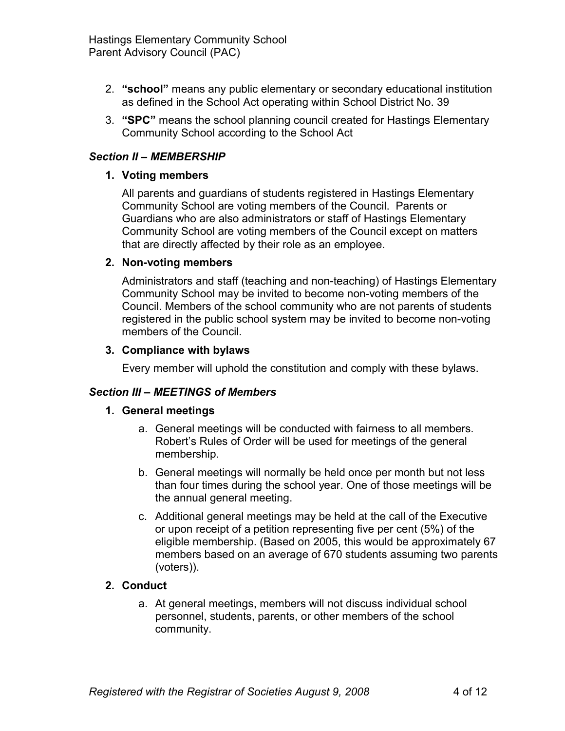- 2. **"school"** means any public elementary or secondary educational institution as defined in the School Act operating within School District No. 39
- 3. **"SPC"** means the school planning council created for Hastings Elementary Community School according to the School Act

# <span id="page-3-1"></span>*Section II – MEMBERSHIP*

### **1. Voting members**

All parents and guardians of students registered in Hastings Elementary Community School are voting members of the Council. Parents or Guardians who are also administrators or staff of Hastings Elementary Community School are voting members of the Council except on matters that are directly affected by their role as an employee.

### **2. Non-voting members**

Administrators and staff (teaching and non-teaching) of Hastings Elementary Community School may be invited to become non-voting members of the Council. Members of the school community who are not parents of students registered in the public school system may be invited to become non-voting members of the Council.

### **3. Compliance with bylaws**

Every member will uphold the constitution and comply with these bylaws.

## <span id="page-3-0"></span>*Section III – MEETINGS of Members*

#### **1. General meetings**

- a. General meetings will be conducted with fairness to all members. Robert's Rules of Order will be used for meetings of the general membership.
- b. General meetings will normally be held once per month but not less than four times during the school year. One of those meetings will be the annual general meeting.
- c. Additional general meetings may be held at the call of the Executive or upon receipt of a petition representing five per cent (5%) of the eligible membership. (Based on 2005, this would be approximately 67 members based on an average of 670 students assuming two parents (voters)).

## **2. Conduct**

a. At general meetings, members will not discuss individual school personnel, students, parents, or other members of the school community.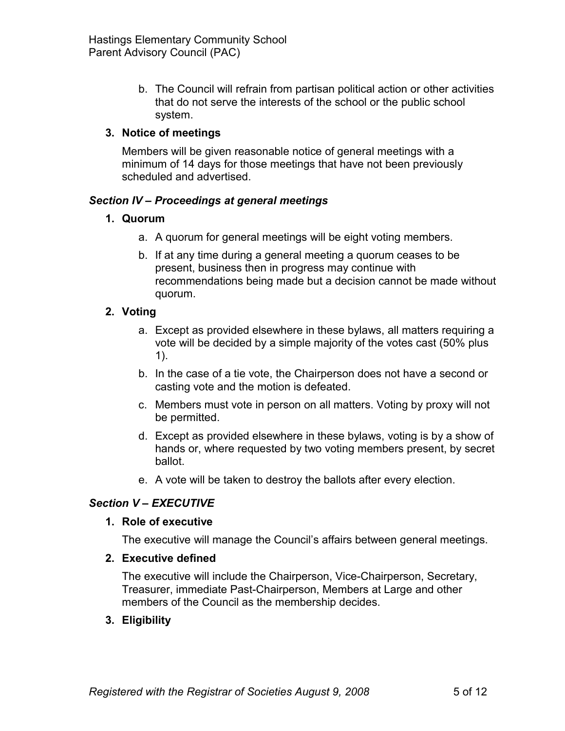b. The Council will refrain from partisan political action or other activities that do not serve the interests of the school or the public school system.

# **3. Notice of meetings**

Members will be given reasonable notice of general meetings with a minimum of 14 days for those meetings that have not been previously scheduled and advertised.

## <span id="page-4-1"></span>*Section IV – Proceedings at general meetings*

## **1. Quorum**

- a. A quorum for general meetings will be eight voting members.
- b. If at any time during a general meeting a quorum ceases to be present, business then in progress may continue with recommendations being made but a decision cannot be made without quorum.

## **2. Voting**

- a. Except as provided elsewhere in these bylaws, all matters requiring a vote will be decided by a simple majority of the votes cast (50% plus 1).
- b. In the case of a tie vote, the Chairperson does not have a second or casting vote and the motion is defeated.
- c. Members must vote in person on all matters. Voting by proxy will not be permitted.
- d. Except as provided elsewhere in these bylaws, voting is by a show of hands or, where requested by two voting members present, by secret ballot.
- e. A vote will be taken to destroy the ballots after every election.

## <span id="page-4-0"></span>*Section V – EXECUTIVE*

## **1. Role of executive**

The executive will manage the Council's affairs between general meetings.

#### **2. Executive defined**

The executive will include the Chairperson, Vice-Chairperson, Secretary, Treasurer, immediate Past-Chairperson, Members at Large and other members of the Council as the membership decides.

## **3. Eligibility**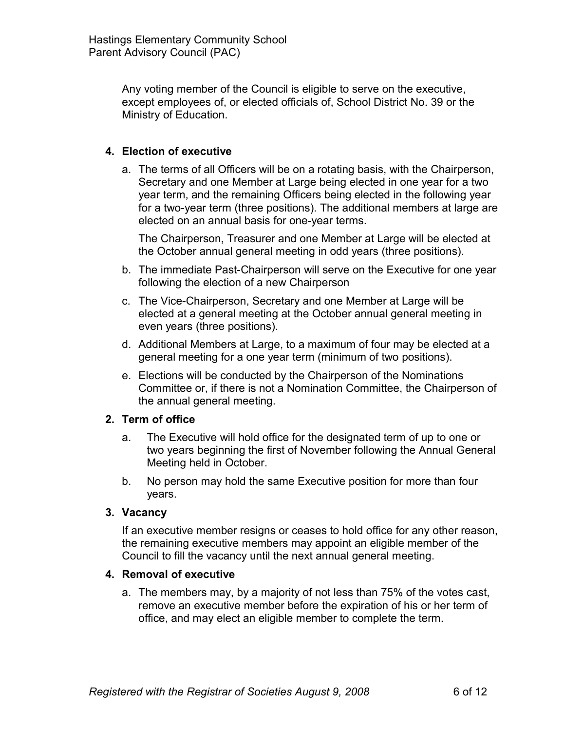Any voting member of the Council is eligible to serve on the executive, except employees of, or elected officials of, School District No. 39 or the Ministry of Education.

## **4. Election of executive**

a. The terms of all Officers will be on a rotating basis, with the Chairperson, Secretary and one Member at Large being elected in one year for a two year term, and the remaining Officers being elected in the following year for a two-year term (three positions). The additional members at large are elected on an annual basis for one-year terms.

The Chairperson, Treasurer and one Member at Large will be elected at the October annual general meeting in odd years (three positions).

- b. The immediate Past-Chairperson will serve on the Executive for one year following the election of a new Chairperson
- c. The Vice-Chairperson, Secretary and one Member at Large will be elected at a general meeting at the October annual general meeting in even years (three positions).
- d. Additional Members at Large, to a maximum of four may be elected at a general meeting for a one year term (minimum of two positions).
- e. Elections will be conducted by the Chairperson of the Nominations Committee or, if there is not a Nomination Committee, the Chairperson of the annual general meeting.

#### **2. Term of office**

- a. The Executive will hold office for the designated term of up to one or two years beginning the first of November following the Annual General Meeting held in October.
- b. No person may hold the same Executive position for more than four years.

#### **3. Vacancy**

If an executive member resigns or ceases to hold office for any other reason, the remaining executive members may appoint an eligible member of the Council to fill the vacancy until the next annual general meeting.

#### **4. Removal of executive**

a. The members may, by a majority of not less than 75% of the votes cast, remove an executive member before the expiration of his or her term of office, and may elect an eligible member to complete the term.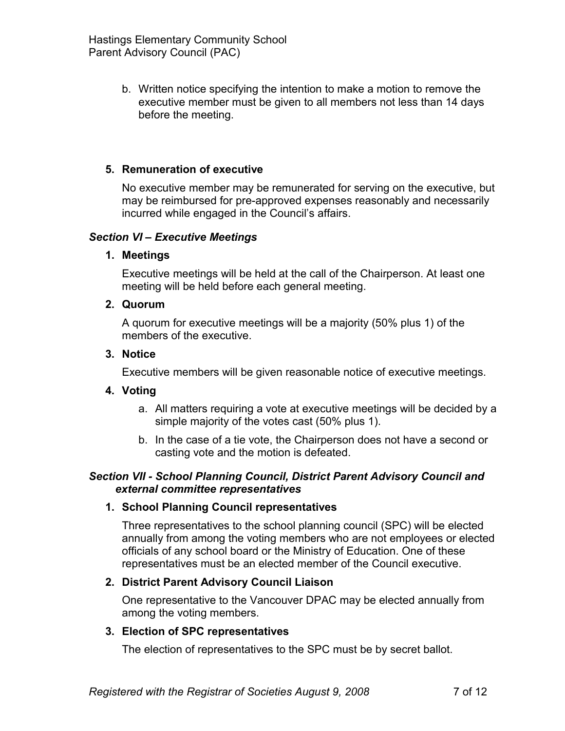b. Written notice specifying the intention to make a motion to remove the executive member must be given to all members not less than 14 days before the meeting.

### **5. Remuneration of executive**

No executive member may be remunerated for serving on the executive, but may be reimbursed for pre-approved expenses reasonably and necessarily incurred while engaged in the Council's affairs.

#### <span id="page-6-1"></span>*Section VI – Executive Meetings*

#### **1. Meetings**

Executive meetings will be held at the call of the Chairperson. At least one meeting will be held before each general meeting.

#### **2. Quorum**

A quorum for executive meetings will be a majority (50% plus 1) of the members of the executive.

#### **3. Notice**

Executive members will be given reasonable notice of executive meetings.

#### **4. Voting**

- a. All matters requiring a vote at executive meetings will be decided by a simple majority of the votes cast (50% plus 1).
- b. In the case of a tie vote, the Chairperson does not have a second or casting vote and the motion is defeated.

#### <span id="page-6-0"></span>*Section VII - School Planning Council, District Parent Advisory Council and external committee representatives*

#### **1. School Planning Council representatives**

Three representatives to the school planning council (SPC) will be elected annually from among the voting members who are not employees or elected officials of any school board or the Ministry of Education. One of these representatives must be an elected member of the Council executive.

#### **2. District Parent Advisory Council Liaison**

One representative to the Vancouver DPAC may be elected annually from among the voting members.

#### **3. Election of SPC representatives**

The election of representatives to the SPC must be by secret ballot.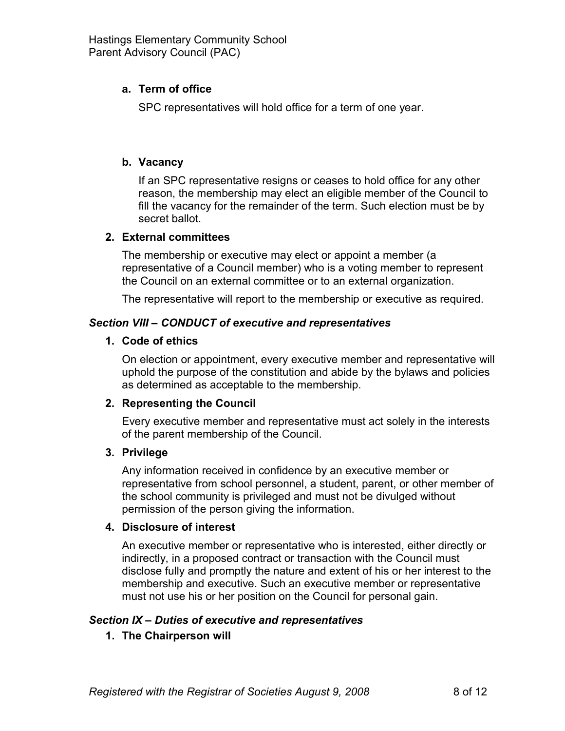## **a. Term of office**

SPC representatives will hold office for a term of one year.

### **b. Vacancy**

If an SPC representative resigns or ceases to hold office for any other reason, the membership may elect an eligible member of the Council to fill the vacancy for the remainder of the term. Such election must be by secret ballot.

### **2. External committees**

The membership or executive may elect or appoint a member (a representative of a Council member) who is a voting member to represent the Council on an external committee or to an external organization.

The representative will report to the membership or executive as required.

### <span id="page-7-1"></span>*Section VIII – CONDUCT of executive and representatives*

### **1. Code of ethics**

On election or appointment, every executive member and representative will uphold the purpose of the constitution and abide by the bylaws and policies as determined as acceptable to the membership.

## **2. Representing the Council**

Every executive member and representative must act solely in the interests of the parent membership of the Council.

#### **3. Privilege**

Any information received in confidence by an executive member or representative from school personnel, a student, parent, or other member of the school community is privileged and must not be divulged without permission of the person giving the information.

#### **4. Disclosure of interest**

An executive member or representative who is interested, either directly or indirectly, in a proposed contract or transaction with the Council must disclose fully and promptly the nature and extent of his or her interest to the membership and executive. Such an executive member or representative must not use his or her position on the Council for personal gain.

## <span id="page-7-0"></span>*Section IX – Duties of executive and representatives*

## **1. The Chairperson will**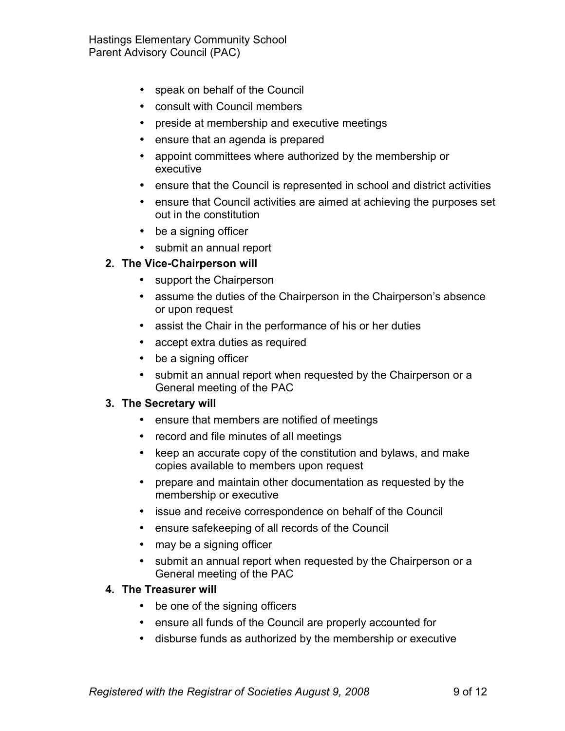Hastings Elementary Community School Parent Advisory Council (PAC)

- speak on behalf of the Council
- consult with Council members
- preside at membership and executive meetings
- ensure that an agenda is prepared
- appoint committees where authorized by the membership or executive
- ensure that the Council is represented in school and district activities
- ensure that Council activities are aimed at achieving the purposes set out in the constitution
- be a signing officer
- submit an annual report

### **2. The Vice-Chairperson will**

- support the Chairperson
- assume the duties of the Chairperson in the Chairperson's absence or upon request
- assist the Chair in the performance of his or her duties
- accept extra duties as required
- be a signing officer
- submit an annual report when requested by the Chairperson or a General meeting of the PAC

#### **3. The Secretary will**

- ensure that members are notified of meetings
- record and file minutes of all meetings
- keep an accurate copy of the constitution and bylaws, and make copies available to members upon request
- prepare and maintain other documentation as requested by the membership or executive
- issue and receive correspondence on behalf of the Council
- ensure safekeeping of all records of the Council
- may be a signing officer
- submit an annual report when requested by the Chairperson or a General meeting of the PAC

#### **4. The Treasurer will**

- be one of the signing officers
- ensure all funds of the Council are properly accounted for
- disburse funds as authorized by the membership or executive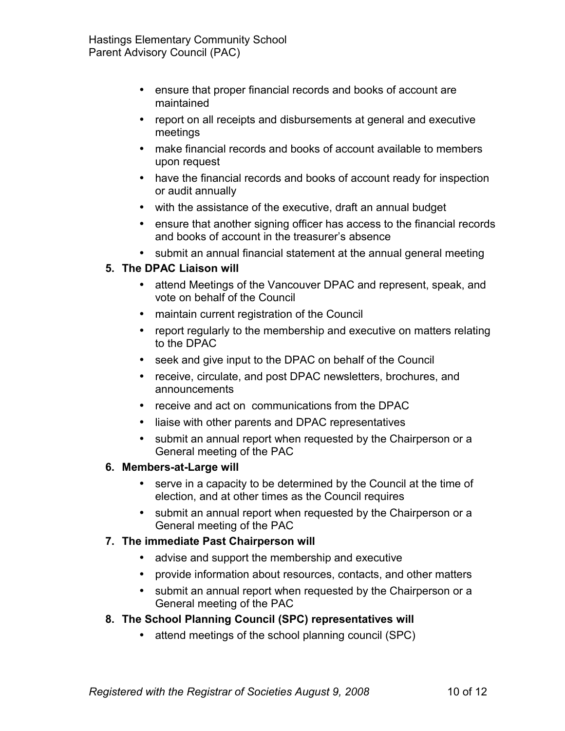- ensure that proper financial records and books of account are maintained
- report on all receipts and disbursements at general and executive meetings
- make financial records and books of account available to members upon request
- have the financial records and books of account ready for inspection or audit annually
- with the assistance of the executive, draft an annual budget
- ensure that another signing officer has access to the financial records and books of account in the treasurer's absence
- submit an annual financial statement at the annual general meeting

# **5. The DPAC Liaison will**

- attend Meetings of the Vancouver DPAC and represent, speak, and vote on behalf of the Council
- maintain current registration of the Council
- report regularly to the membership and executive on matters relating to the DPAC
- seek and give input to the DPAC on behalf of the Council
- receive, circulate, and post DPAC newsletters, brochures, and announcements
- receive and act on communications from the DPAC
- liaise with other parents and DPAC representatives
- submit an annual report when requested by the Chairperson or a General meeting of the PAC

## **6. Members-at-Large will**

- serve in a capacity to be determined by the Council at the time of election, and at other times as the Council requires
- submit an annual report when requested by the Chairperson or a General meeting of the PAC

## **7. The immediate Past Chairperson will**

- advise and support the membership and executive
- provide information about resources, contacts, and other matters
- submit an annual report when requested by the Chairperson or a General meeting of the PAC

## **8. The School Planning Council (SPC) representatives will**

• attend meetings of the school planning council (SPC)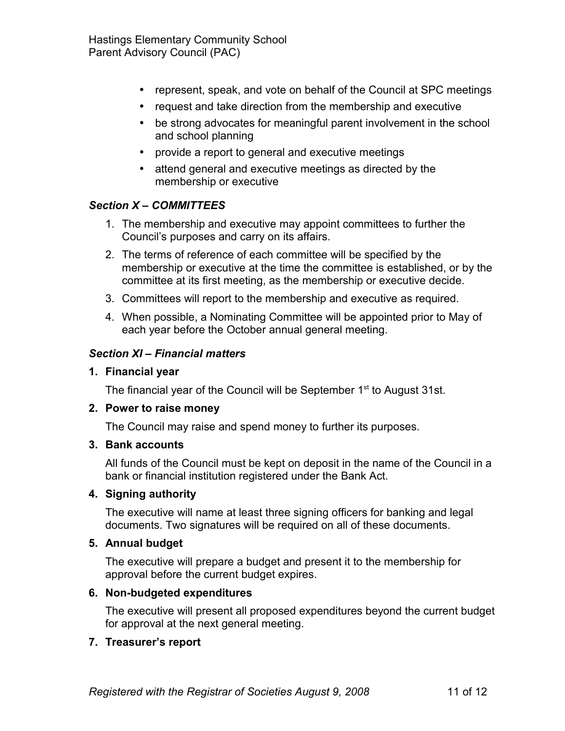- represent, speak, and vote on behalf of the Council at SPC meetings
- request and take direction from the membership and executive
- be strong advocates for meaningful parent involvement in the school and school planning
- provide a report to general and executive meetings
- attend general and executive meetings as directed by the membership or executive

## <span id="page-10-1"></span>*Section X – COMMITTEES*

- 1. The membership and executive may appoint committees to further the Council's purposes and carry on its affairs.
- 2. The terms of reference of each committee will be specified by the membership or executive at the time the committee is established, or by the committee at its first meeting, as the membership or executive decide.
- 3. Committees will report to the membership and executive as required.
- 4. When possible, a Nominating Committee will be appointed prior to May of each year before the October annual general meeting.

#### <span id="page-10-0"></span>*Section XI – Financial matters*

#### **1. Financial year**

The financial year of the Council will be September 1<sup>st</sup> to August 31st.

#### **2. Power to raise money**

The Council may raise and spend money to further its purposes.

#### **3. Bank accounts**

All funds of the Council must be kept on deposit in the name of the Council in a bank or financial institution registered under the Bank Act.

#### **4. Signing authority**

The executive will name at least three signing officers for banking and legal documents. Two signatures will be required on all of these documents.

#### **5. Annual budget**

The executive will prepare a budget and present it to the membership for approval before the current budget expires.

#### **6. Non-budgeted expenditures**

The executive will present all proposed expenditures beyond the current budget for approval at the next general meeting.

#### **7. Treasurer's report**